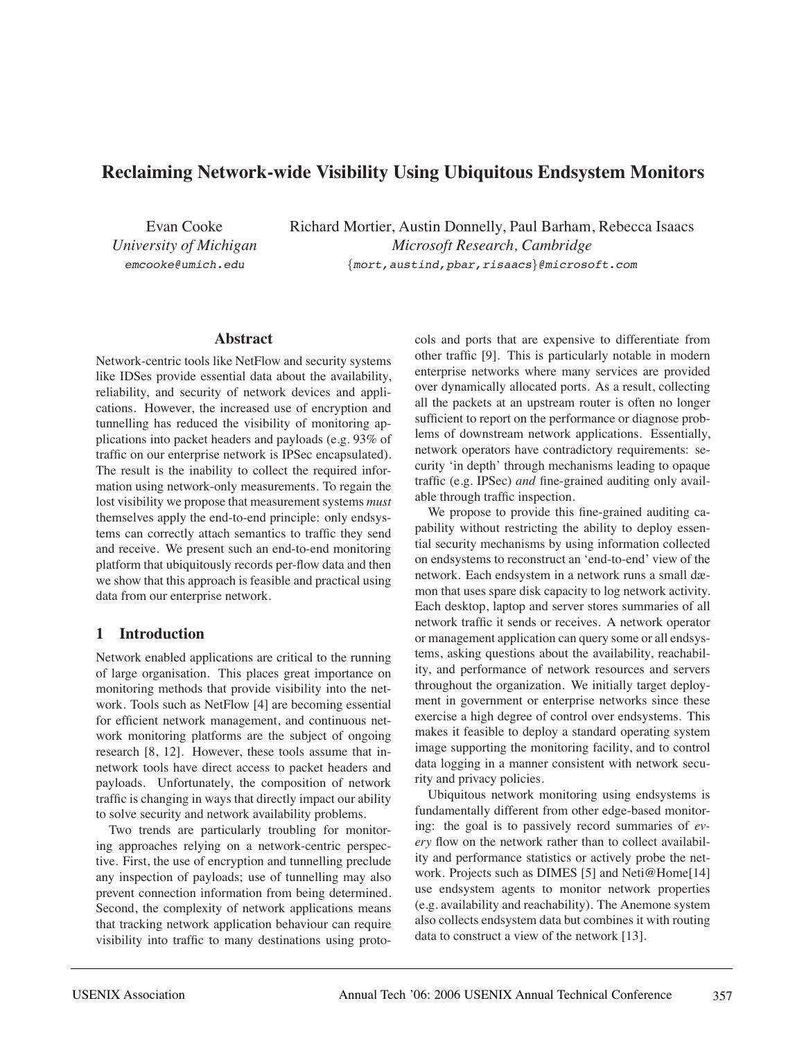# **Reclaiming Network-wide Visibility Using Ubiquitous Endsystem Monitors**

Evan Cooke *University of Michigan* emcooke@umich.edu

Richard Mortier, Austin Donnelly, Paul Barham, Rebecca Isaacs *Microsoft Research, Cambridge* {mort,austind,pbar,risaacs}@microsoft.com

#### **Abstract**

Network-centric tools like NetFlow and security systems like IDSes provide essential data about the availability, reliability, and security of network devices and applications. However, the increased use of encryption and tunnelling has reduced the visibility of monitoring applications into packet headers and payloads (e.g. 93% of traffic on our enterprise network is IPSec encapsulated). The result is the inability to collect the required information using network-only measurements. To regain the lost visibility we propose that measurement systems *must* themselves apply the end-to-end principle: only endsystems can correctly attach semantics to traffic they send and receive. We present such an end-to-end monitoring platform that ubiquitously records per-flow data and then we show that this approach is feasible and practical using data from our enterprise network.

### **1 Introduction**

Network enabled applications are critical to the running of large organisation. This places great importance on monitoring methods that provide visibility into the network. Tools such as NetFlow [4] are becoming essential for efficient network management, and continuous network monitoring platforms are the subject of ongoing research [8, 12]. However, these tools assume that innetwork tools have direct access to packet headers and payloads. Unfortunately, the composition of network traffic is changing in ways that directly impact our ability to solve security and network availability problems.

Two trends are particularly troubling for monitoring approaches relying on a network-centric perspective. First, the use of encryption and tunnelling preclude any inspection of payloads; use of tunnelling may also prevent connection information from being determined. Second, the complexity of network applications means that tracking network application behaviour can require visibility into traffic to many destinations using protocols and ports that are expensive to differentiate from other traffic [9]. This is particularly notable in modern enterprise networks where many services are provided over dynamically allocated ports. As a result, collecting all the packets at an upstream router is often no longer sufficient to report on the performance or diagnose problems of downstream network applications. Essentially, network operators have contradictory requirements: security 'in depth' through mechanisms leading to opaque traffic (e.g. IPSec) *and* fine-grained auditing only available through traffic inspection.

We propose to provide this fine-grained auditing capability without restricting the ability to deploy essential security mechanisms by using information collected on endsystems to reconstruct an 'end-to-end' view of the network. Each endsystem in a network runs a small dæmon that uses spare disk capacity to log network activity. Each desktop, laptop and server stores summaries of all network traffic it sends or receives. A network operator or management application can query some or all endsystems, asking questions about the availability, reachability, and performance of network resources and servers throughout the organization. We initially target deployment in government or enterprise networks since these exercise a high degree of control over endsystems. This makes it feasible to deploy a standard operating system image supporting the monitoring facility, and to control data logging in a manner consistent with network security and privacy policies.

Ubiquitous network monitoring using endsystems is fundamentally different from other edge-based monitoring: the goal is to passively record summaries of *every* flow on the network rather than to collect availability and performance statistics or actively probe the network. Projects such as DIMES [5] and Neti@Home[14] use endsystem agents to monitor network properties (e.g. availability and reachability). The Anemone system also collects endsystem data but combines it with routing data to construct a view of the network [13].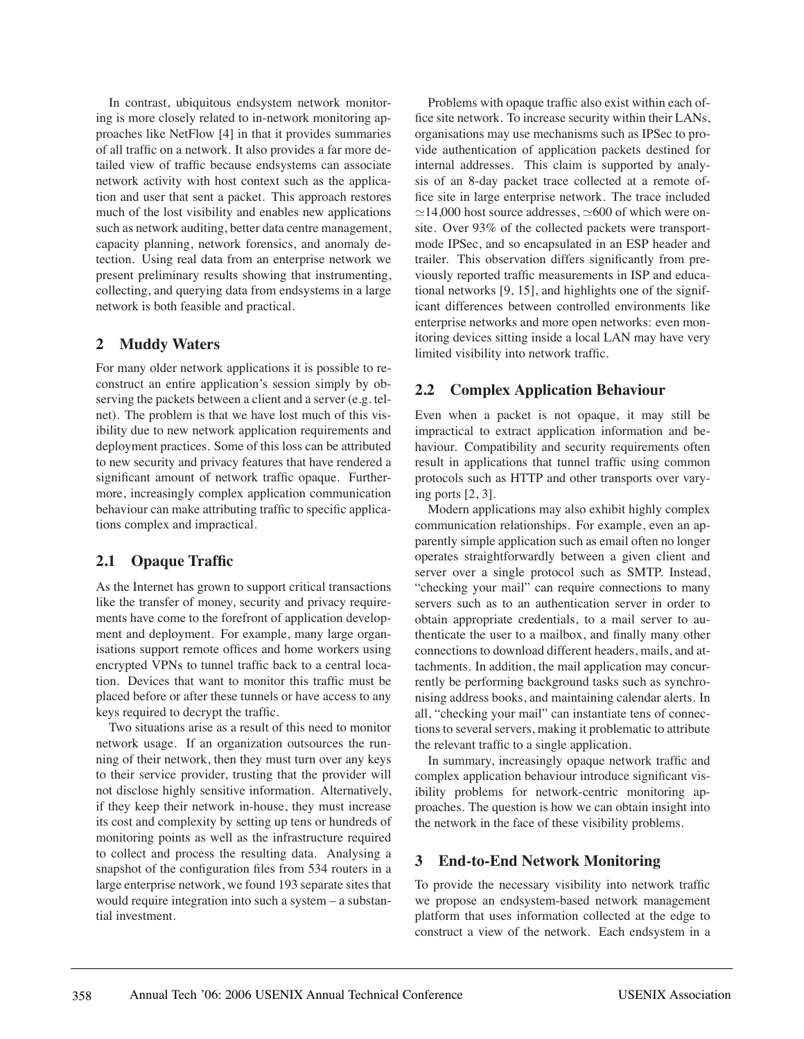In contrast, ubiquitous endsystem network monitoring is more closely related to in-network monitoring approaches like NetFlow [4] in that it provides summaries of all traffic on a network. It also provides a far more detailed view of traffic because endsystems can associate network activity with host context such as the application and user that sent a packet. This approach restores much of the lost visibility and enables new applications such as network auditing, better data centre management, capacity planning, network forensics, and anomaly detection. Using real data from an enterprise network we present preliminary results showing that instrumenting, collecting, and querying data from endsystems in a large network is both feasible and practical.

#### **2 Muddy Waters**

For many older network applications it is possible to reconstruct an entire application's session simply by observing the packets between a client and a server (e.g. telnet). The problem is that we have lost much of this visibility due to new network application requirements and deployment practices. Some of this loss can be attributed to new security and privacy features that have rendered a significant amount of network traffic opaque. Furthermore, increasingly complex application communication behaviour can make attributing traffic to specific applications complex and impractical.

### **2.1 Opaque Traffic**

As the Internet has grown to support critical transactions like the transfer of money, security and privacy requirements have come to the forefront of application development and deployment. For example, many large organisations support remote offices and home workers using encrypted VPNs to tunnel traffic back to a central location. Devices that want to monitor this traffic must be placed before or after these tunnels or have access to any keys required to decrypt the traffic.

Two situations arise as a result of this need to monitor network usage. If an organization outsources the running of their network, then they must turn over any keys to their service provider, trusting that the provider will not disclose highly sensitive information. Alternatively, if they keep their network in-house, they must increase its cost and complexity by setting up tens or hundreds of monitoring points as well as the infrastructure required to collect and process the resulting data. Analysing a snapshot of the configuration files from 534 routers in a large enterprise network, we found 193 separate sites that would require integration into such a system – a substantial investment.

Problems with opaque traffic also exist within each office site network. To increase security within their LANs, organisations may use mechanisms such as IPSec to provide authentication of application packets destined for internal addresses. This claim is supported by analysis of an 8-day packet trace collected at a remote office site in large enterprise network. The trace included  $\approx$ 14,000 host source addresses,  $\approx$ 600 of which were onsite. Over 93% of the collected packets were transportmode IPSec, and so encapsulated in an ESP header and trailer. This observation differs significantly from previously reported traffic measurements in ISP and educational networks [9, 15], and highlights one of the significant differences between controlled environments like enterprise networks and more open networks: even monitoring devices sitting inside a local LAN may have very limited visibility into network traffic.

### **2.2 Complex Application Behaviour**

Even when a packet is not opaque, it may still be impractical to extract application information and behaviour. Compatibility and security requirements often result in applications that tunnel traffic using common protocols such as HTTP and other transports over varying ports [2, 3].

Modern applications may also exhibit highly complex communication relationships. For example, even an apparently simple application such as email often no longer operates straightforwardly between a given client and server over a single protocol such as SMTP. Instead, "checking your mail" can require connections to many servers such as to an authentication server in order to obtain appropriate credentials, to a mail server to authenticate the user to a mailbox, and finally many other connections to download different headers, mails, and attachments. In addition, the mail application may concurrently be performing background tasks such as synchronising address books, and maintaining calendar alerts. In all, "checking your mail" can instantiate tens of connections to several servers, making it problematic to attribute the relevant traffic to a single application.

In summary, increasingly opaque network traffic and complex application behaviour introduce significant visibility problems for network-centric monitoring approaches. The question is how we can obtain insight into the network in the face of these visibility problems.

### **3 End-to-End Network Monitoring**

To provide the necessary visibility into network traffic we propose an endsystem-based network management platform that uses information collected at the edge to construct a view of the network. Each endsystem in a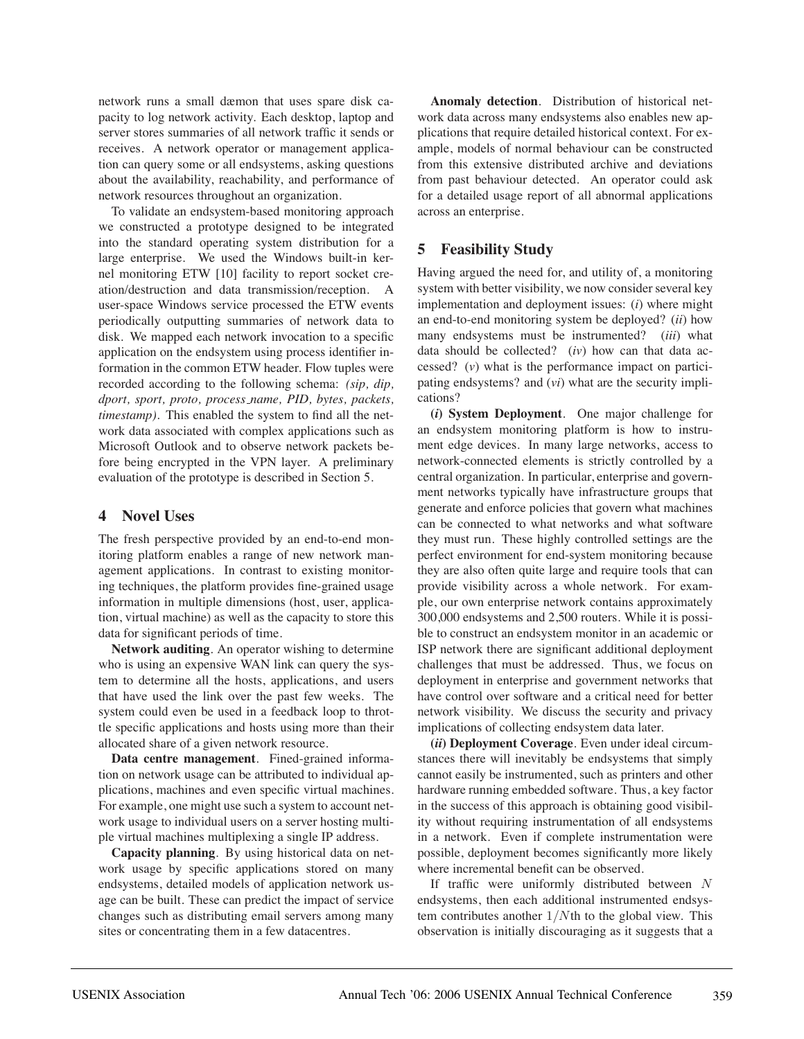network runs a small dæmon that uses spare disk capacity to log network activity. Each desktop, laptop and server stores summaries of all network traffic it sends or receives. A network operator or management application can query some or all endsystems, asking questions about the availability, reachability, and performance of network resources throughout an organization.

To validate an endsystem-based monitoring approach we constructed a prototype designed to be integrated into the standard operating system distribution for a large enterprise. We used the Windows built-in kernel monitoring ETW [10] facility to report socket creation/destruction and data transmission/reception. A user-space Windows service processed the ETW events periodically outputting summaries of network data to disk. We mapped each network invocation to a specific application on the endsystem using process identifier information in the common ETW header. Flow tuples were recorded according to the following schema: *(sip, dip, dport, sport, proto, process name, PID, bytes, packets, timestamp)*. This enabled the system to find all the network data associated with complex applications such as Microsoft Outlook and to observe network packets before being encrypted in the VPN layer. A preliminary evaluation of the prototype is described in Section 5.

#### **4 Novel Uses**

The fresh perspective provided by an end-to-end monitoring platform enables a range of new network management applications. In contrast to existing monitoring techniques, the platform provides fine-grained usage information in multiple dimensions (host, user, application, virtual machine) as well as the capacity to store this data for significant periods of time.

**Network auditing**. An operator wishing to determine who is using an expensive WAN link can query the system to determine all the hosts, applications, and users that have used the link over the past few weeks. The system could even be used in a feedback loop to throttle specific applications and hosts using more than their allocated share of a given network resource.

**Data centre management**. Fined-grained information on network usage can be attributed to individual applications, machines and even specific virtual machines. For example, one might use such a system to account network usage to individual users on a server hosting multiple virtual machines multiplexing a single IP address.

**Capacity planning**. By using historical data on network usage by specific applications stored on many endsystems, detailed models of application network usage can be built. These can predict the impact of service changes such as distributing email servers among many sites or concentrating them in a few datacentres.

**Anomaly detection**. Distribution of historical network data across many endsystems also enables new applications that require detailed historical context. For example, models of normal behaviour can be constructed from this extensive distributed archive and deviations from past behaviour detected. An operator could ask for a detailed usage report of all abnormal applications across an enterprise.

## **5 Feasibility Study**

Having argued the need for, and utility of, a monitoring system with better visibility, we now consider several key implementation and deployment issues: (*i*) where might an end-to-end monitoring system be deployed? (*ii*) how many endsystems must be instrumented? (*iii*) what data should be collected? (*iv*) how can that data accessed? (*v*) what is the performance impact on participating endsystems? and (*vi*) what are the security implications?

**(***i***) System Deployment**. One major challenge for an endsystem monitoring platform is how to instrument edge devices. In many large networks, access to network-connected elements is strictly controlled by a central organization. In particular, enterprise and government networks typically have infrastructure groups that generate and enforce policies that govern what machines can be connected to what networks and what software they must run. These highly controlled settings are the perfect environment for end-system monitoring because they are also often quite large and require tools that can provide visibility across a whole network. For example, our own enterprise network contains approximately 300,000 endsystems and 2,500 routers. While it is possible to construct an endsystem monitor in an academic or ISP network there are significant additional deployment challenges that must be addressed. Thus, we focus on deployment in enterprise and government networks that have control over software and a critical need for better network visibility. We discuss the security and privacy implications of collecting endsystem data later.

**(***ii***) Deployment Coverage**. Even under ideal circumstances there will inevitably be endsystems that simply cannot easily be instrumented, such as printers and other hardware running embedded software. Thus, a key factor in the success of this approach is obtaining good visibility without requiring instrumentation of all endsystems in a network. Even if complete instrumentation were possible, deployment becomes significantly more likely where incremental benefit can be observed.

If traffic were uniformly distributed between N endsystems, then each additional instrumented endsystem contributes another  $1/N$ th to the global view. This observation is initially discouraging as it suggests that a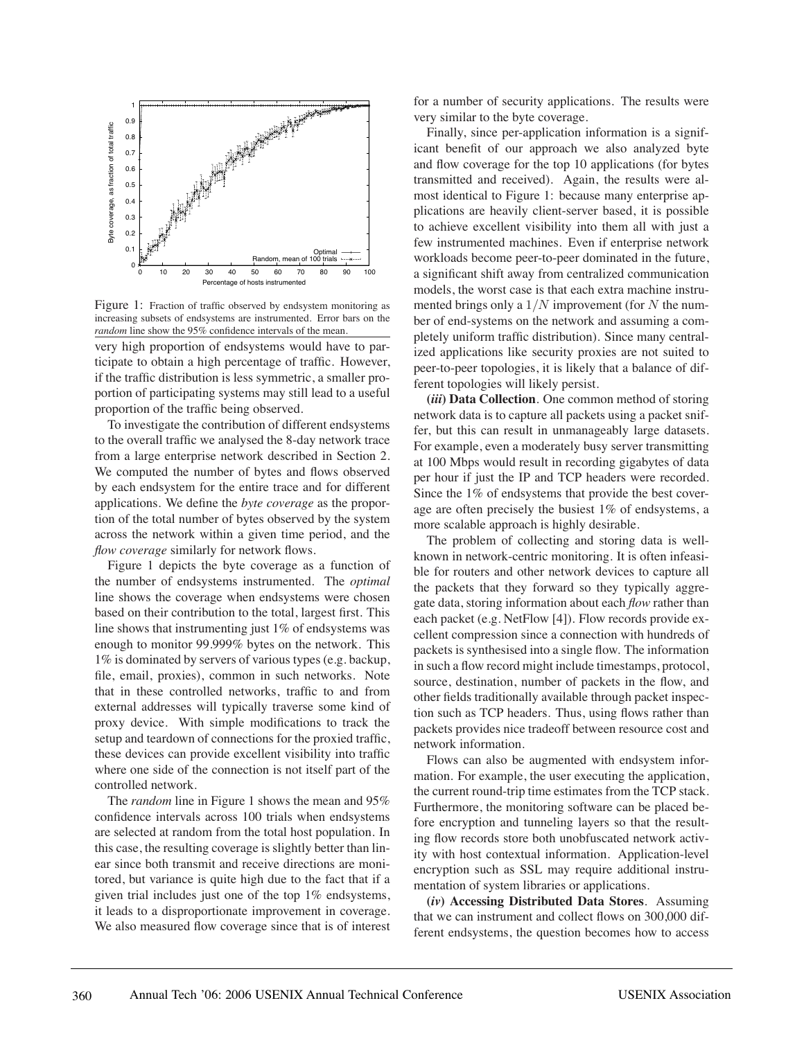

Figure 1: Fraction of traffic observed by endsystem monitoring as increasing subsets of endsystems are instrumented. Error bars on the *random* line show the 95% confidence intervals of the mean.

very high proportion of endsystems would have to participate to obtain a high percentage of traffic. However, if the traffic distribution is less symmetric, a smaller proportion of participating systems may still lead to a useful proportion of the traffic being observed.

To investigate the contribution of different endsystems to the overall traffic we analysed the 8-day network trace from a large enterprise network described in Section 2. We computed the number of bytes and flows observed by each endsystem for the entire trace and for different applications. We define the *byte coverage* as the proportion of the total number of bytes observed by the system across the network within a given time period, and the *flow coverage* similarly for network flows.

Figure 1 depicts the byte coverage as a function of the number of endsystems instrumented. The *optimal* line shows the coverage when endsystems were chosen based on their contribution to the total, largest first. This line shows that instrumenting just 1% of endsystems was enough to monitor 99.999% bytes on the network. This 1% is dominated by servers of various types (e.g. backup, file, email, proxies), common in such networks. Note that in these controlled networks, traffic to and from external addresses will typically traverse some kind of proxy device. With simple modifications to track the setup and teardown of connections for the proxied traffic, these devices can provide excellent visibility into traffic where one side of the connection is not itself part of the controlled network.

The *random* line in Figure 1 shows the mean and 95% confidence intervals across 100 trials when endsystems are selected at random from the total host population. In this case, the resulting coverage is slightly better than linear since both transmit and receive directions are monitored, but variance is quite high due to the fact that if a given trial includes just one of the top 1% endsystems, it leads to a disproportionate improvement in coverage. We also measured flow coverage since that is of interest for a number of security applications. The results were very similar to the byte coverage.

Finally, since per-application information is a significant benefit of our approach we also analyzed byte and flow coverage for the top 10 applications (for bytes transmitted and received). Again, the results were almost identical to Figure 1: because many enterprise applications are heavily client-server based, it is possible to achieve excellent visibility into them all with just a few instrumented machines. Even if enterprise network workloads become peer-to-peer dominated in the future, a significant shift away from centralized communication models, the worst case is that each extra machine instrumented brings only a  $1/N$  improvement (for N the number of end-systems on the network and assuming a completely uniform traffic distribution). Since many centralized applications like security proxies are not suited to peer-to-peer topologies, it is likely that a balance of different topologies will likely persist.

**(***iii***) Data Collection**. One common method of storing network data is to capture all packets using a packet sniffer, but this can result in unmanageably large datasets. For example, even a moderately busy server transmitting at 100 Mbps would result in recording gigabytes of data per hour if just the IP and TCP headers were recorded. Since the 1% of endsystems that provide the best coverage are often precisely the busiest 1% of endsystems, a more scalable approach is highly desirable.

The problem of collecting and storing data is wellknown in network-centric monitoring. It is often infeasible for routers and other network devices to capture all the packets that they forward so they typically aggregate data, storing information about each *flow* rather than each packet (e.g. NetFlow [4]). Flow records provide excellent compression since a connection with hundreds of packets is synthesised into a single flow. The information in such a flow record might include timestamps, protocol, source, destination, number of packets in the flow, and other fields traditionally available through packet inspection such as TCP headers. Thus, using flows rather than packets provides nice tradeoff between resource cost and network information.

Flows can also be augmented with endsystem information. For example, the user executing the application, the current round-trip time estimates from the TCP stack. Furthermore, the monitoring software can be placed before encryption and tunneling layers so that the resulting flow records store both unobfuscated network activity with host contextual information. Application-level encryption such as SSL may require additional instrumentation of system libraries or applications.

**(***iv***) Accessing Distributed Data Stores**. Assuming that we can instrument and collect flows on 300,000 different endsystems, the question becomes how to access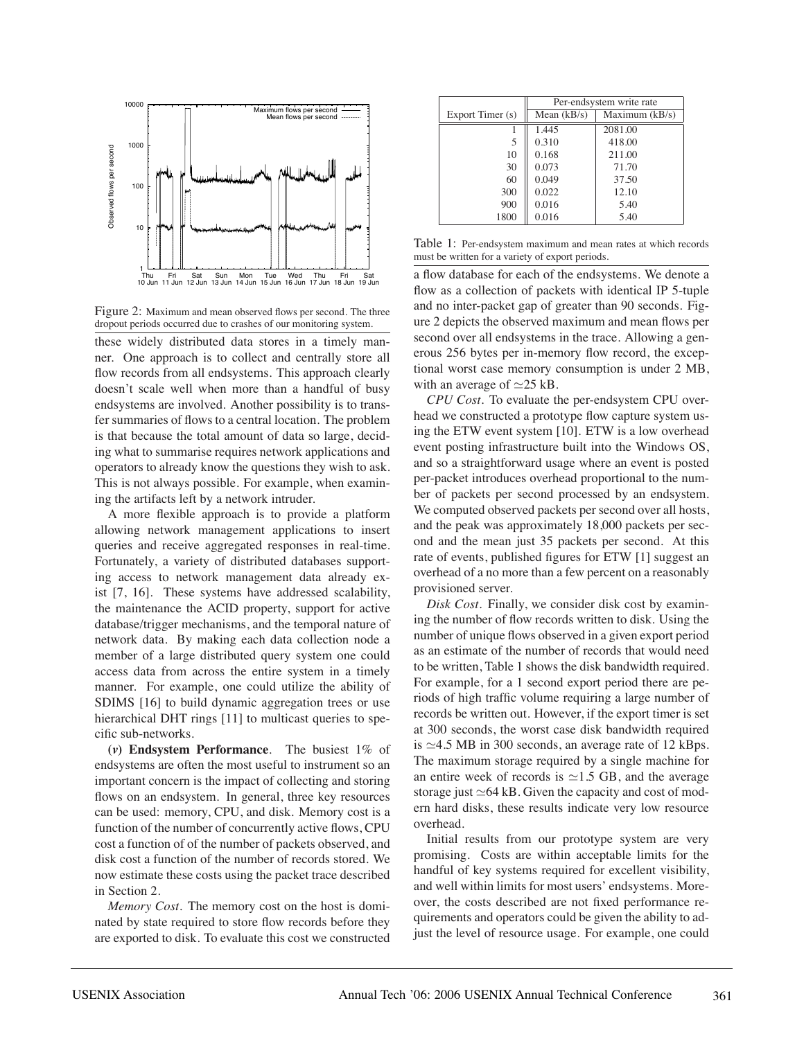

Figure 2: Maximum and mean observed flows per second. The three dropout periods occurred due to crashes of our monitoring system.

these widely distributed data stores in a timely manner. One approach is to collect and centrally store all flow records from all endsystems. This approach clearly doesn't scale well when more than a handful of busy endsystems are involved. Another possibility is to transfer summaries of flows to a central location. The problem is that because the total amount of data so large, deciding what to summarise requires network applications and operators to already know the questions they wish to ask. This is not always possible. For example, when examining the artifacts left by a network intruder.

A more flexible approach is to provide a platform allowing network management applications to insert queries and receive aggregated responses in real-time. Fortunately, a variety of distributed databases supporting access to network management data already exist [7, 16]. These systems have addressed scalability, the maintenance the ACID property, support for active database/trigger mechanisms, and the temporal nature of network data. By making each data collection node a member of a large distributed query system one could access data from across the entire system in a timely manner. For example, one could utilize the ability of SDIMS [16] to build dynamic aggregation trees or use hierarchical DHT rings [11] to multicast queries to specific sub-networks.

**(***v***) Endsystem Performance**. The busiest 1% of endsystems are often the most useful to instrument so an important concern is the impact of collecting and storing flows on an endsystem. In general, three key resources can be used: memory, CPU, and disk. Memory cost is a function of the number of concurrently active flows, CPU cost a function of of the number of packets observed, and disk cost a function of the number of records stored. We now estimate these costs using the packet trace described in Section 2.

*Memory Cost.* The memory cost on the host is dominated by state required to store flow records before they are exported to disk. To evaluate this cost we constructed

|                  | Per-endsystem write rate |                  |
|------------------|--------------------------|------------------|
| Export Timer (s) | Mean $(kB/s)$            | Maximum $(kB/s)$ |
|                  | 1.445                    | 2081.00          |
| 5                | 0.310                    | 418.00           |
| 10               | 0.168                    | 211.00           |
| 30               | 0.073                    | 71.70            |
| 60               | 0.049                    | 37.50            |
| 300              | 0.022                    | 12.10            |
| 900              | 0.016                    | 5.40             |
| 1800             | 0.016                    | 5.40             |

Table 1: Per-endsystem maximum and mean rates at which records must be written for a variety of export periods.

a flow database for each of the endsystems. We denote a flow as a collection of packets with identical IP 5-tuple and no inter-packet gap of greater than 90 seconds. Figure 2 depicts the observed maximum and mean flows per second over all endsystems in the trace. Allowing a generous 256 bytes per in-memory flow record, the exceptional worst case memory consumption is under 2 MB, with an average of  $\simeq$  25 kB.

*CPU Cost.* To evaluate the per-endsystem CPU overhead we constructed a prototype flow capture system using the ETW event system [10]. ETW is a low overhead event posting infrastructure built into the Windows OS, and so a straightforward usage where an event is posted per-packet introduces overhead proportional to the number of packets per second processed by an endsystem. We computed observed packets per second over all hosts, and the peak was approximately 18,000 packets per second and the mean just 35 packets per second. At this rate of events, published figures for ETW [1] suggest an overhead of a no more than a few percent on a reasonably provisioned server.

*Disk Cost.* Finally, we consider disk cost by examining the number of flow records written to disk. Using the number of unique flows observed in a given export period as an estimate of the number of records that would need to be written, Table 1 shows the disk bandwidth required. For example, for a 1 second export period there are periods of high traffic volume requiring a large number of records be written out. However, if the export timer is set at 300 seconds, the worst case disk bandwidth required is  $\simeq$  4.5 MB in 300 seconds, an average rate of 12 kBps. The maximum storage required by a single machine for an entire week of records is  $\simeq$ 1.5 GB, and the average storage just  $\simeq 64$  kB. Given the capacity and cost of modern hard disks, these results indicate very low resource overhead.

Initial results from our prototype system are very promising. Costs are within acceptable limits for the handful of key systems required for excellent visibility, and well within limits for most users' endsystems. Moreover, the costs described are not fixed performance requirements and operators could be given the ability to adjust the level of resource usage. For example, one could